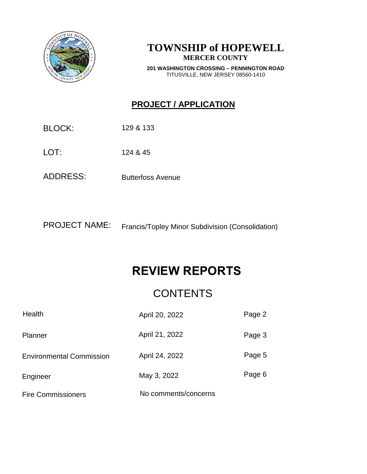

# **TOWNSHIP of HOPEWELL MERCER COUNTY**

**201 WASHINGTON CROSSING – PENNINGTON ROAD** TITUSVILLE, NEW JERSEY 08560-1410

# **PROJECT / APPLICATION**

BLOCK: 129 & 133

LOT: 124 & 45

ADDRESS: Butterfoss Avenue

PROJECT NAME: Francis/Topley Minor Subdivision (Consolidation)

# **REVIEW REPORTS**

# **CONTENTS**

| Health                          | April 20, 2022       | Page 2 |
|---------------------------------|----------------------|--------|
| Planner                         | April 21, 2022       | Page 3 |
| <b>Environmental Commission</b> | April 24, 2022       | Page 5 |
| Engineer                        | May 3, 2022          | Page 6 |
| <b>Fire Commissioners</b>       | No comments/concerns |        |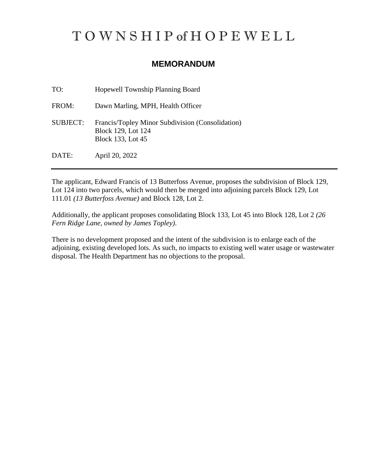# T O W N S H I P of H O P E W E L L

# **MEMORANDUM**

| TO:             | Hopewell Township Planning Board                                                            |
|-----------------|---------------------------------------------------------------------------------------------|
| FROM:           | Dawn Marling, MPH, Health Officer                                                           |
| <b>SUBJECT:</b> | Francis/Topley Minor Subdivision (Consolidation)<br>Block 129, Lot 124<br>Block 133, Lot 45 |
| DATE:           | April 20, 2022                                                                              |

The applicant, Edward Francis of 13 Butterfoss Avenue, proposes the subdivision of Block 129, Lot 124 into two parcels, which would then be merged into adjoining parcels Block 129, Lot 111.01 *(13 Butterfoss Avenue)* and Block 128, Lot 2.

Additionally, the applicant proposes consolidating Block 133, Lot 45 into Block 128, Lot 2 *(26 Fern Ridge Lane, owned by James Topley)*.

There is no development proposed and the intent of the subdivision is to enlarge each of the adjoining, existing developed lots. As such, no impacts to existing well water usage or wastewater disposal. The Health Department has no objections to the proposal.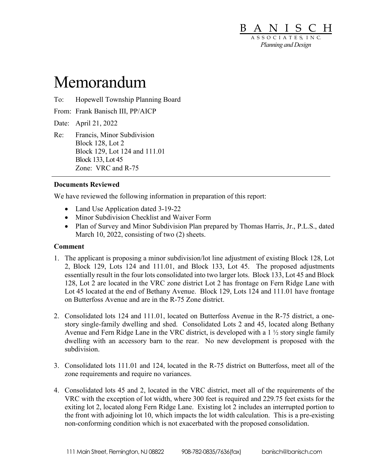

# Memorandum

- To: Hopewell Township Planning Board
- From: Frank Banisch III, PP/AICP

Date: April 21, 2022

Re: Francis, Minor Subdivision Block 128, Lot 2 Block 129, Lot 124 and 111.01 Block 133, Lot 45 Zone: VRC and R-75

#### **Documents Reviewed**

We have reviewed the following information in preparation of this report:

- Land Use Application dated 3-19-22
- Minor Subdivision Checklist and Waiver Form
- Plan of Survey and Minor Subdivision Plan prepared by Thomas Harris, Jr., P.L.S., dated March 10, 2022, consisting of two (2) sheets.

#### **Comment**

- 1. The applicant is proposing a minor subdivision/lot line adjustment of existing Block 128, Lot 2, Block 129, Lots 124 and 111.01, and Block 133, Lot 45. The proposed adjustments essentially result in the four lots consolidated into two larger lots. Block 133, Lot 45 and Block 128, Lot 2 are located in the VRC zone district Lot 2 has frontage on Fern Ridge Lane with Lot 45 located at the end of Bethany Avenue. Block 129, Lots 124 and 111.01 have frontage on Butterfoss Avenue and are in the R-75 Zone district.
- 2. Consolidated lots 124 and 111.01, located on Butterfoss Avenue in the R-75 district, a onestory single-family dwelling and shed. Consolidated Lots 2 and 45, located along Bethany Avenue and Fern Ridge Lane in the VRC district, is developed with a 1 ½ story single family dwelling with an accessory barn to the rear. No new development is proposed with the subdivision.
- 3. Consolidated lots 111.01 and 124, located in the R-75 district on Butterfoss, meet all of the zone requirements and require no variances.
- 4. Consolidated lots 45 and 2, located in the VRC district, meet all of the requirements of the VRC with the exception of lot width, where 300 feet is required and 229.75 feet exists for the exiting lot 2, located along Fern Ridge Lane. Existing lot 2 includes an interrupted portion to the front with adjoining lot 10, which impacts the lot width calculation. This is a pre-existing non-conforming condition which is not exacerbated with the proposed consolidation.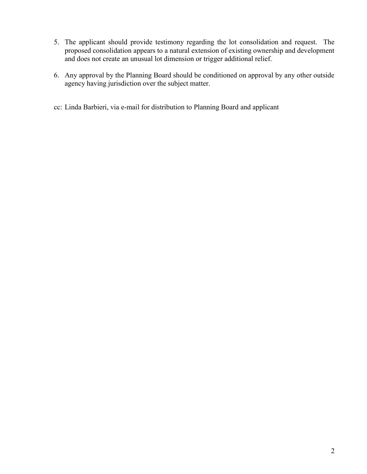- 5. The applicant should provide testimony regarding the lot consolidation and request. The proposed consolidation appears to a natural extension of existing ownership and development and does not create an unusual lot dimension or trigger additional relief.
- 6. Any approval by the Planning Board should be conditioned on approval by any other outside agency having jurisdiction over the subject matter.
- cc: Linda Barbieri, via e-mail for distribution to Planning Board and applicant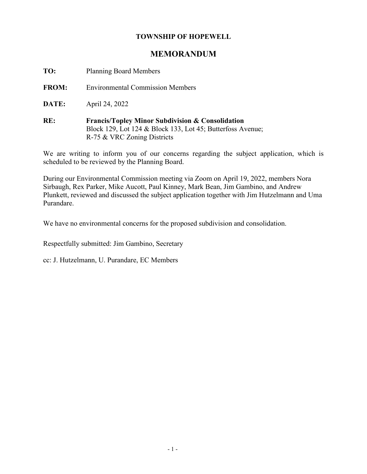# **TOWNSHIP OF HOPEWELL**

# **MEMORANDUM**

**TO:** Planning Board Members

**FROM:** Environmental Commission Members

**DATE:** April 24, 2022

**RE: Francis/Topley Minor Subdivision & Consolidation** Block 129, Lot 124 & Block 133, Lot 45; Butterfoss Avenue; R-75 & VRC Zoning Districts

We are writing to inform you of our concerns regarding the subject application, which is scheduled to be reviewed by the Planning Board.

During our Environmental Commission meeting via Zoom on April 19, 2022, members Nora Sirbaugh, Rex Parker, Mike Aucott, Paul Kinney, Mark Bean, Jim Gambino, and Andrew Plunkett, reviewed and discussed the subject application together with Jim Hutzelmann and Uma Purandare.

We have no environmental concerns for the proposed subdivision and consolidation.

Respectfully submitted: Jim Gambino, Secretary

cc: J. Hutzelmann, U. Purandare, EC Members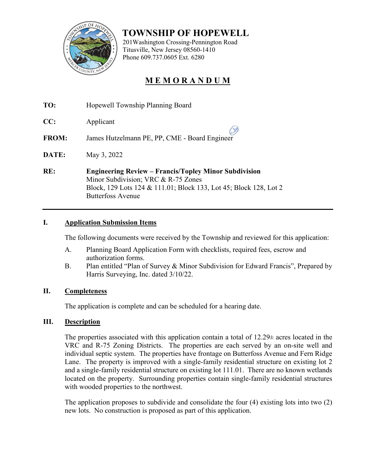

 **TOWNSHIP OF HOPEWELL**

 201Washington Crossing-Pennington Road Titusville, New Jersey 08560-1410 Phone 609.737.0605 Ext. 6280

# **M E M O R A N D U M**

- **TO:** Hopewell Township Planning Board
- **CC:** Applicant

**FROM:** James Hutzelmann PE, PP, CME - Board Engineer

- **DATE:** May 3, 2022
- **RE: Engineering Review – Francis/Topley Minor Subdivision** Minor Subdivision; VRC & R-75 Zones Block, 129 Lots 124 & 111.01; Block 133, Lot 45; Block 128, Lot 2 Butterfoss Avenue

# **I. Application Submission Items**

The following documents were received by the Township and reviewed for this application:

- A. Planning Board Application Form with checklists, required fees, escrow and authorization forms.
- B. Plan entitled "Plan of Survey & Minor Subdivision for Edward Francis", Prepared by Harris Surveying, Inc. dated 3/10/22.

# **II. Completeness**

The application is complete and can be scheduled for a hearing date.

# **III. Description**

The properties associated with this application contain a total of  $12.29\pm$  acres located in the VRC and R-75 Zoning Districts. The properties are each served by an on-site well and individual septic system. The properties have frontage on Butterfoss Avenue and Fern Ridge Lane. The property is improved with a single-family residential structure on existing lot 2 and a single-family residential structure on existing lot 111.01. There are no known wetlands located on the property. Surrounding properties contain single-family residential structures with wooded properties to the northwest.

The application proposes to subdivide and consolidate the four (4) existing lots into two (2) new lots. No construction is proposed as part of this application.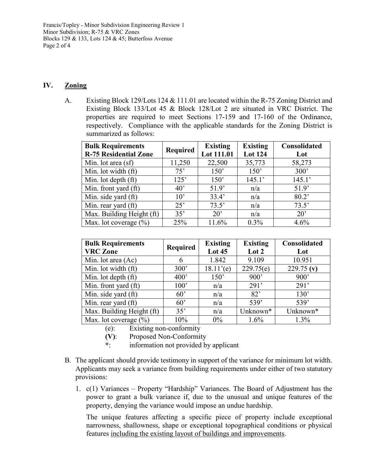Francis/Topley - Minor Subdivision Engineering Review 1 Minor Subdivision; R-75 & VRC Zones Blocks 129 & 133, Lots 124 & 45; Butterfoss Avenue Page 2 of 4

#### **IV. Zoning**

A. Existing Block 129/Lots 124 & 111.01 are located within the R-75 Zoning District and Existing Block 133/Lot 45 & Block 128/Lot 2 are situated in VRC District. The properties are required to meet Sections 17-159 and 17-160 of the Ordinance, respectively. Compliance with the applicable standards for the Zoning District is summarized as follows:

| <b>Bulk Requirements</b><br><b>R-75 Residential Zone</b> | <b>Required</b> | <b>Existing</b><br>Lot 111.01 | <b>Existing</b><br><b>Lot 124</b> | Consolidated<br>Lot |
|----------------------------------------------------------|-----------------|-------------------------------|-----------------------------------|---------------------|
| Min. lot area (sf)                                       | 11,250          | 22,500                        | 35,773                            | 58,273              |
| Min. lot width (ft)                                      | 75'             | 150'                          | 150'                              | 300'                |
| Min. lot depth (ft)                                      | 125'            | 150'                          | 145.1'                            | 145.1'              |
| Min. front yard (ft)                                     | $40^{\circ}$    | 51.9'                         | n/a                               | 51.9'               |
| Min. side yard (ft)                                      | $10^{\circ}$    | 33.4'                         | n/a                               | 80.2                |
| Min. rear yard (ft)                                      | 25'             | 73.5'                         | n/a                               | 73.5'               |
| Max. Building Height (ft)                                | 35'             | $20^{\circ}$                  | n/a                               | $20^{\circ}$        |
| Max. lot coverage $(\% )$                                | 25%             | 11.6%                         | $0.3\%$                           | 4.6%                |

| <b>Bulk Requirements</b>  | <b>Required</b> | <b>Existing</b> | <b>Existing</b> | <b>Consolidated</b> |
|---------------------------|-----------------|-----------------|-----------------|---------------------|
| <b>VRC</b> Zone           |                 | Lot 45          | Lot 2           | Lot                 |
| Min. lot area (Ac)        | 6               | 1.842           | 9.109           | 10.951              |
| Min. lot width (ft)       | 300'            | 18.11'(e)       | 229.75(e)       | 229.75 $(v)$        |
| Min. lot depth (ft)       | 400'            | 150'            | 900'            | 900'                |
| Min. front yard (ft)      | 100'            | n/a             | 291'            | 291'                |
| Min. side yard (ft)       | $60^{\circ}$    | n/a             | 82'             | 130'                |
| Min. rear yard (ft)       | 60'             | n/a             | 539'            | 539'                |
| Max. Building Height (ft) | 35'             | n/a             | Unknown*        | Unknown*            |
| Max. lot coverage $(\% )$ | 10%             | $0\%$           | 1.6%            | $1.3\%$             |

(e): Existing non-conformity

- **(V)**: Proposed Non-Conformity
- **\***: information not provided by applicant
- B. The applicant should provide testimony in support of the variance for minimum lot width. Applicants may seek a variance from building requirements under either of two statutory provisions:
	- 1. c(1) Variances Property "Hardship" Variances. The Board of Adjustment has the power to grant a bulk variance if, due to the unusual and unique features of the property, denying the variance would impose an undue hardship.

The unique features affecting a specific piece of property include exceptional narrowness, shallowness, shape or exceptional topographical conditions or physical features including the existing layout of buildings and improvements.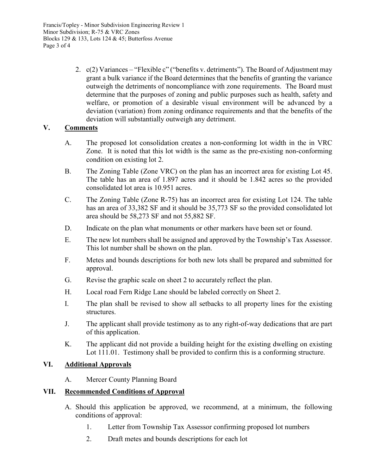2. c(2) Variances – "Flexible c" ("benefits v. detriments"). The Board of Adjustment may grant a bulk variance if the Board determines that the benefits of granting the variance outweigh the detriments of noncompliance with zone requirements. The Board must determine that the purposes of zoning and public purposes such as health, safety and welfare, or promotion of a desirable visual environment will be advanced by a deviation (variation) from zoning ordinance requirements and that the benefits of the deviation will substantially outweigh any detriment.

# **V. Comments**

- A. The proposed lot consolidation creates a non-conforming lot width in the in VRC Zone. It is noted that this lot width is the same as the pre-existing non-conforming condition on existing lot 2.
- B. The Zoning Table (Zone VRC) on the plan has an incorrect area for existing Lot 45. The table has an area of 1.897 acres and it should be 1.842 acres so the provided consolidated lot area is 10.951 acres.
- C. The Zoning Table (Zone R-75) has an incorrect area for existing Lot 124. The table has an area of 33,382 SF and it should be 35,773 SF so the provided consolidated lot area should be 58,273 SF and not 55,882 SF.
- D. Indicate on the plan what monuments or other markers have been set or found.
- E. The new lot numbers shall be assigned and approved by the Township's Tax Assessor. This lot number shall be shown on the plan.
- F. Metes and bounds descriptions for both new lots shall be prepared and submitted for approval.
- G. Revise the graphic scale on sheet 2 to accurately reflect the plan.
- H. Local road Fern Ridge Lane should be labeled correctly on Sheet 2.
- I. The plan shall be revised to show all setbacks to all property lines for the existing structures.
- J. The applicant shall provide testimony as to any right-of-way dedications that are part of this application.
- K. The applicant did not provide a building height for the existing dwelling on existing Lot 111.01. Testimony shall be provided to confirm this is a conforming structure.

# **VI. Additional Approvals**

A. Mercer County Planning Board

# **VII. Recommended Conditions of Approval**

- A. Should this application be approved, we recommend, at a minimum, the following conditions of approval:
	- 1. Letter from Township Tax Assessor confirming proposed lot numbers
	- 2. Draft metes and bounds descriptions for each lot